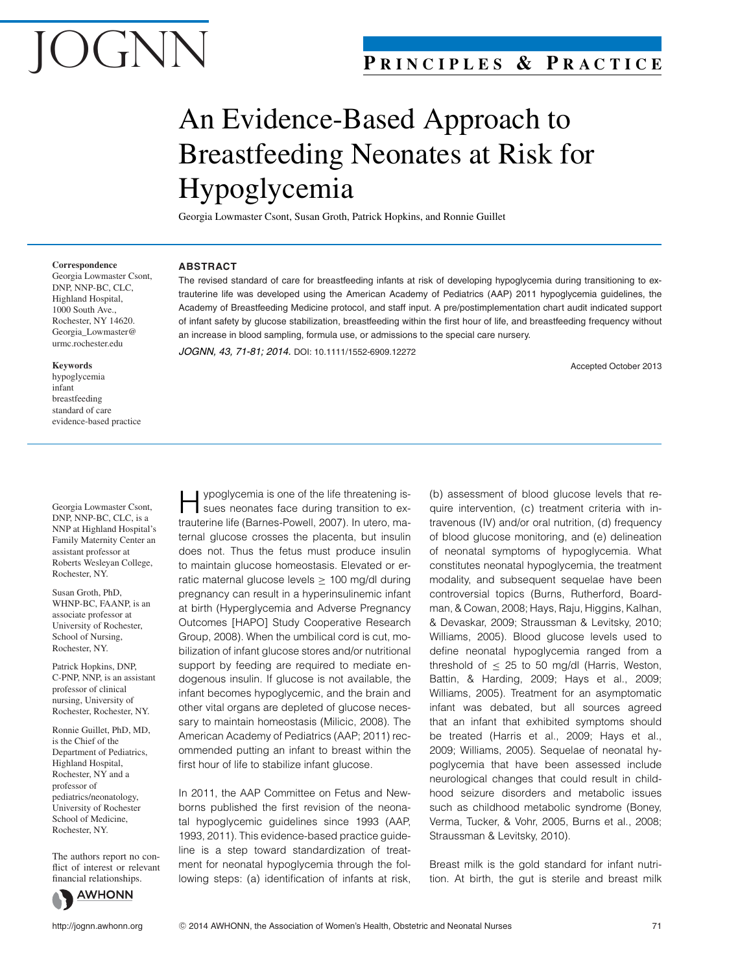## JOGNN **<sup>P</sup> RINCIPLES & P RACTICE**

# An Evidence-Based Approach to Breastfeeding Neonates at Risk for Hypoglycemia

The revised standard of care for breastfeeding infants at risk of developing hypoglycemia during transitioning to extrauterine life was developed using the American Academy of Pediatrics (AAP) 2011 hypoglycemia guidelines, the Academy of Breastfeeding Medicine protocol, and staff input. A pre/postimplementation chart audit indicated support of infant safety by glucose stabilization, breastfeeding within the first hour of life, and breastfeeding frequency without

Georgia Lowmaster Csont, Susan Groth, Patrick Hopkins, and Ronnie Guillet

an increase in blood sampling, formula use, or admissions to the special care nursery.

#### **Correspondence**

Georgia Lowmaster Csont, DNP, NNP-BC, CLC, Highland Hospital, 1000 South Ave., Rochester, NY 14620. Georgia\_Lowmaster@ urmc.rochester.edu

**ABSTRACT**

#### **Keywords**

hypoglycemia infant breastfeeding standard of care evidence-based practice

Georgia Lowmaster Csont, DNP, NNP-BC, CLC, is a NNP at Highland Hospital's Family Maternity Center an assistant professor at Roberts Wesleyan College, Rochester, NY.

Susan Groth, PhD, WHNP-BC, FAANP, is an associate professor at University of Rochester, School of Nursing, Rochester, NY.

Patrick Hopkins, DNP, C-PNP, NNP, is an assistant professor of clinical nursing, University of Rochester, Rochester, NY.

Ronnie Guillet, PhD, MD, is the Chief of the Department of Pediatrics, Highland Hospital, Rochester, NY and a professor of pediatrics/neonatology, University of Rochester School of Medicine, Rochester, NY.

The authors report no conflict of interest or relevant financial relationships.



Hypoglycemia is one of the life threatening is-sues neonates face during transition to extrauterine life (Barnes-Powell, 2007). In utero, maternal glucose crosses the placenta, but insulin does not. Thus the fetus must produce insulin to maintain glucose homeostasis. Elevated or erratic maternal glucose levels  $\geq$  100 mg/dl during pregnancy can result in a hyperinsulinemic infant at birth (Hyperglycemia and Adverse Pregnancy Outcomes [HAPO] Study Cooperative Research Group, 2008). When the umbilical cord is cut, mobilization of infant glucose stores and/or nutritional support by feeding are required to mediate endogenous insulin. If glucose is not available, the infant becomes hypoglycemic, and the brain and other vital organs are depleted of glucose necessary to maintain homeostasis (Milicic, 2008). The American Academy of Pediatrics (AAP; 2011) recommended putting an infant to breast within the first hour of life to stabilize infant glucose.

JOGNN, 43, 71-81; 2014. DOI: 10.1111/1552-6909.12272

In 2011, the AAP Committee on Fetus and Newborns published the first revision of the neonatal hypoglycemic guidelines since 1993 (AAP, 1993, 2011). This evidence-based practice guideline is a step toward standardization of treatment for neonatal hypoglycemia through the following steps: (a) identification of infants at risk, (b) assessment of blood glucose levels that require intervention, (c) treatment criteria with intravenous (IV) and/or oral nutrition, (d) frequency of blood glucose monitoring, and (e) delineation of neonatal symptoms of hypoglycemia. What constitutes neonatal hypoglycemia, the treatment modality, and subsequent sequelae have been controversial topics (Burns, Rutherford, Boardman, & Cowan, 2008; Hays, Raju, Higgins, Kalhan, & Devaskar, 2009; Straussman & Levitsky, 2010; Williams, 2005). Blood glucose levels used to define neonatal hypoglycemia ranged from a threshold of  $\leq$  25 to 50 mg/dl (Harris, Weston, Battin, & Harding, 2009; Hays et al., 2009; Williams, 2005). Treatment for an asymptomatic infant was debated, but all sources agreed that an infant that exhibited symptoms should be treated (Harris et al., 2009; Hays et al., 2009; Williams, 2005). Sequelae of neonatal hypoglycemia that have been assessed include neurological changes that could result in childhood seizure disorders and metabolic issues such as childhood metabolic syndrome (Boney, Verma, Tucker, & Vohr, 2005, Burns et al., 2008; Straussman & Levitsky, 2010).

Breast milk is the gold standard for infant nutrition. At birth, the gut is sterile and breast milk

#### Accepted October 2013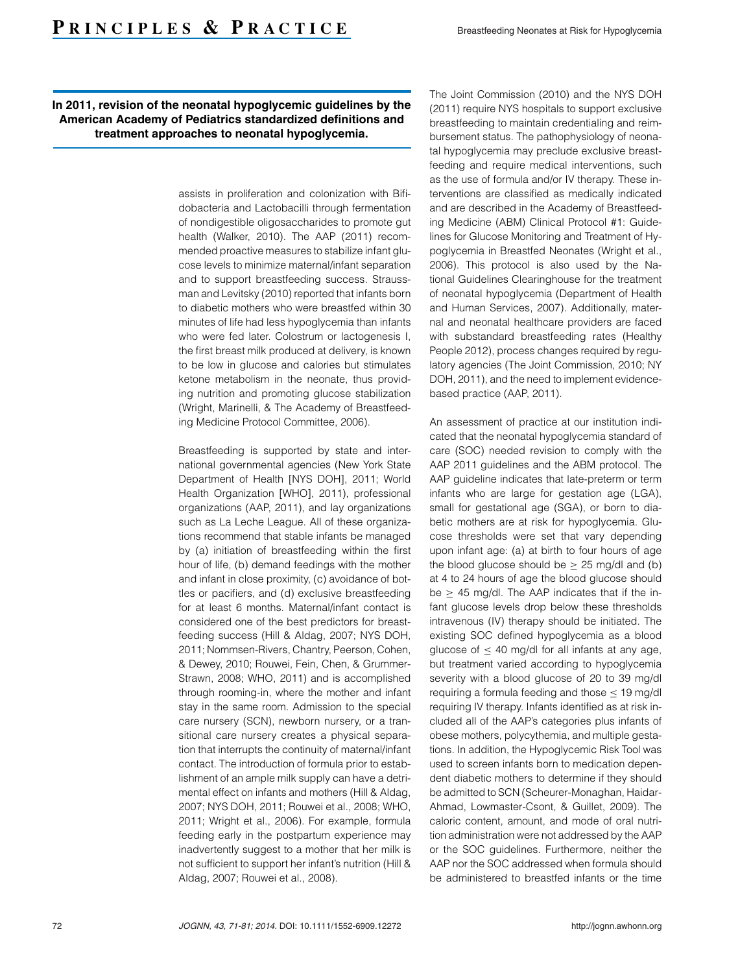#### **In 2011, revision of the neonatal hypoglycemic guidelines by the American Academy of Pediatrics standardized definitions and treatment approaches to neonatal hypoglycemia.**

assists in proliferation and colonization with Bifidobacteria and Lactobacilli through fermentation of nondigestible oligosaccharides to promote gut health (Walker, 2010). The AAP (2011) recommended proactive measures to stabilize infant glucose levels to minimize maternal/infant separation and to support breastfeeding success. Straussman and Levitsky (2010) reported that infants born to diabetic mothers who were breastfed within 30 minutes of life had less hypoglycemia than infants who were fed later. Colostrum or lactogenesis I, the first breast milk produced at delivery, is known to be low in glucose and calories but stimulates ketone metabolism in the neonate, thus providing nutrition and promoting glucose stabilization (Wright, Marinelli, & The Academy of Breastfeeding Medicine Protocol Committee, 2006).

Breastfeeding is supported by state and international governmental agencies (New York State Department of Health [NYS DOH], 2011; World Health Organization [WHO], 2011), professional organizations (AAP, 2011), and lay organizations such as La Leche League. All of these organizations recommend that stable infants be managed by (a) initiation of breastfeeding within the first hour of life, (b) demand feedings with the mother and infant in close proximity, (c) avoidance of bottles or pacifiers, and (d) exclusive breastfeeding for at least 6 months. Maternal/infant contact is considered one of the best predictors for breastfeeding success (Hill & Aldag, 2007; NYS DOH, 2011; Nommsen-Rivers, Chantry, Peerson, Cohen, & Dewey, 2010; Rouwei, Fein, Chen, & Grummer-Strawn, 2008; WHO, 2011) and is accomplished through rooming-in, where the mother and infant stay in the same room. Admission to the special care nursery (SCN), newborn nursery, or a transitional care nursery creates a physical separation that interrupts the continuity of maternal/infant contact. The introduction of formula prior to establishment of an ample milk supply can have a detrimental effect on infants and mothers (Hill & Aldag, 2007; NYS DOH, 2011; Rouwei et al., 2008; WHO, 2011; Wright et al., 2006). For example, formula feeding early in the postpartum experience may inadvertently suggest to a mother that her milk is not sufficient to support her infant's nutrition (Hill & Aldag, 2007; Rouwei et al., 2008).

The Joint Commission (2010) and the NYS DOH (2011) require NYS hospitals to support exclusive breastfeeding to maintain credentialing and reimbursement status. The pathophysiology of neonatal hypoglycemia may preclude exclusive breastfeeding and require medical interventions, such as the use of formula and/or IV therapy. These interventions are classified as medically indicated and are described in the Academy of Breastfeeding Medicine (ABM) Clinical Protocol #1: Guidelines for Glucose Monitoring and Treatment of Hypoglycemia in Breastfed Neonates (Wright et al., 2006). This protocol is also used by the National Guidelines Clearinghouse for the treatment of neonatal hypoglycemia (Department of Health and Human Services, 2007). Additionally, maternal and neonatal healthcare providers are faced with substandard breastfeeding rates (Healthy People 2012), process changes required by regulatory agencies (The Joint Commission, 2010; NY DOH, 2011), and the need to implement evidencebased practice (AAP, 2011).

An assessment of practice at our institution indicated that the neonatal hypoglycemia standard of care (SOC) needed revision to comply with the AAP 2011 guidelines and the ABM protocol. The AAP guideline indicates that late-preterm or term infants who are large for gestation age (LGA), small for gestational age (SGA), or born to diabetic mothers are at risk for hypoglycemia. Glucose thresholds were set that vary depending upon infant age: (a) at birth to four hours of age the blood glucose should be  $\geq$  25 mg/dl and (b) at 4 to 24 hours of age the blood glucose should be  $\geq$  45 mg/dl. The AAP indicates that if the infant glucose levels drop below these thresholds intravenous (IV) therapy should be initiated. The existing SOC defined hypoglycemia as a blood glucose of  $\leq$  40 mg/dl for all infants at any age, but treatment varied according to hypoglycemia severity with a blood glucose of 20 to 39 mg/dl requiring a formula feeding and those  $\leq$  19 mg/dl requiring IV therapy. Infants identified as at risk included all of the AAP's categories plus infants of obese mothers, polycythemia, and multiple gestations. In addition, the Hypoglycemic Risk Tool was used to screen infants born to medication dependent diabetic mothers to determine if they should be admitted to SCN (Scheurer-Monaghan, Haidar-Ahmad, Lowmaster-Csont, & Guillet, 2009). The caloric content, amount, and mode of oral nutrition administration were not addressed by the AAP or the SOC guidelines. Furthermore, neither the AAP nor the SOC addressed when formula should be administered to breastfed infants or the time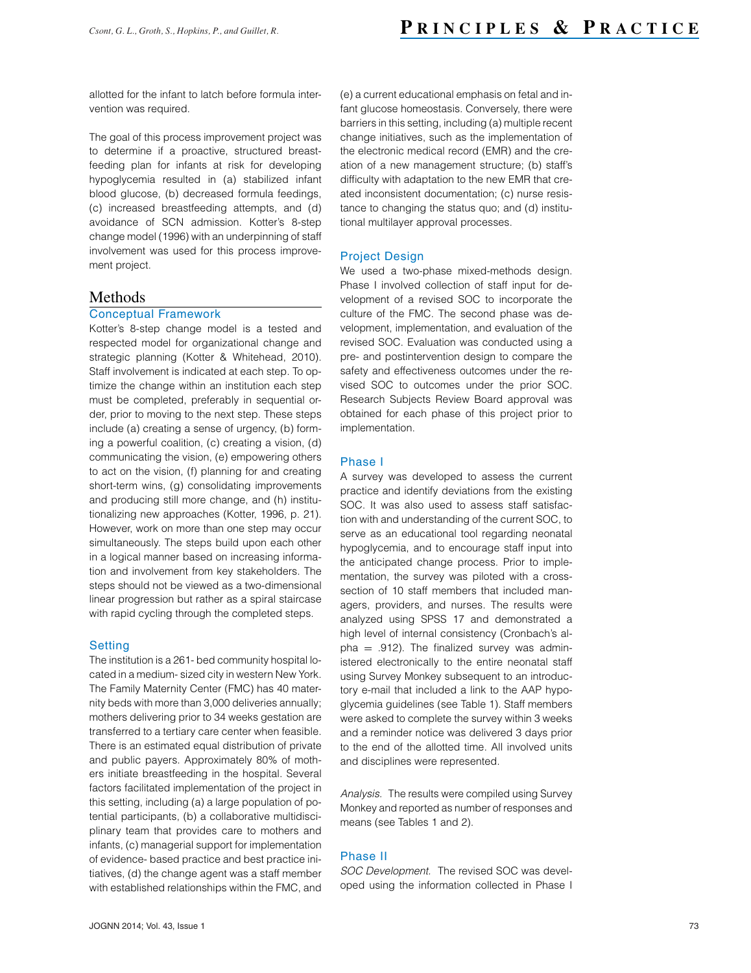allotted for the infant to latch before formula intervention was required.

The goal of this process improvement project was to determine if a proactive, structured breastfeeding plan for infants at risk for developing hypoglycemia resulted in (a) stabilized infant blood glucose, (b) decreased formula feedings, (c) increased breastfeeding attempts, and (d) avoidance of SCN admission. Kotter's 8-step change model (1996) with an underpinning of staff involvement was used for this process improvement project.

#### Methods

#### Conceptual Framework

Kotter's 8-step change model is a tested and respected model for organizational change and strategic planning (Kotter & Whitehead, 2010). Staff involvement is indicated at each step. To optimize the change within an institution each step must be completed, preferably in sequential order, prior to moving to the next step. These steps include (a) creating a sense of urgency, (b) forming a powerful coalition, (c) creating a vision, (d) communicating the vision, (e) empowering others to act on the vision, (f) planning for and creating short-term wins, (g) consolidating improvements and producing still more change, and (h) institutionalizing new approaches (Kotter, 1996, p. 21). However, work on more than one step may occur simultaneously. The steps build upon each other in a logical manner based on increasing information and involvement from key stakeholders. The steps should not be viewed as a two-dimensional linear progression but rather as a spiral staircase with rapid cycling through the completed steps.

#### **Setting**

The institution is a 261- bed community hospital located in a medium- sized city in western New York. The Family Maternity Center (FMC) has 40 maternity beds with more than 3,000 deliveries annually; mothers delivering prior to 34 weeks gestation are transferred to a tertiary care center when feasible. There is an estimated equal distribution of private and public payers. Approximately 80% of mothers initiate breastfeeding in the hospital. Several factors facilitated implementation of the project in this setting, including (a) a large population of potential participants, (b) a collaborative multidisciplinary team that provides care to mothers and infants, (c) managerial support for implementation of evidence- based practice and best practice initiatives, (d) the change agent was a staff member with established relationships within the FMC, and (e) a current educational emphasis on fetal and infant glucose homeostasis. Conversely, there were barriers in this setting, including (a) multiple recent change initiatives, such as the implementation of the electronic medical record (EMR) and the creation of a new management structure; (b) staff's difficulty with adaptation to the new EMR that created inconsistent documentation; (c) nurse resistance to changing the status quo; and (d) institutional multilayer approval processes.

#### Project Design

We used a two-phase mixed-methods design. Phase I involved collection of staff input for development of a revised SOC to incorporate the culture of the FMC. The second phase was development, implementation, and evaluation of the revised SOC. Evaluation was conducted using a pre- and postintervention design to compare the safety and effectiveness outcomes under the revised SOC to outcomes under the prior SOC. Research Subjects Review Board approval was obtained for each phase of this project prior to implementation.

#### Phase I

A survey was developed to assess the current practice and identify deviations from the existing SOC. It was also used to assess staff satisfaction with and understanding of the current SOC, to serve as an educational tool regarding neonatal hypoglycemia, and to encourage staff input into the anticipated change process. Prior to implementation, the survey was piloted with a crosssection of 10 staff members that included managers, providers, and nurses. The results were analyzed using SPSS 17 and demonstrated a high level of internal consistency (Cronbach's al $pha = .912$ ). The finalized survey was administered electronically to the entire neonatal staff using Survey Monkey subsequent to an introductory e-mail that included a link to the AAP hypoglycemia guidelines (see Table 1). Staff members were asked to complete the survey within 3 weeks and a reminder notice was delivered 3 days prior to the end of the allotted time. All involved units and disciplines were represented.

*Analysis.* The results were compiled using Survey Monkey and reported as number of responses and means (see Tables 1 and 2).

#### Phase II

*SOC Development.* The revised SOC was developed using the information collected in Phase I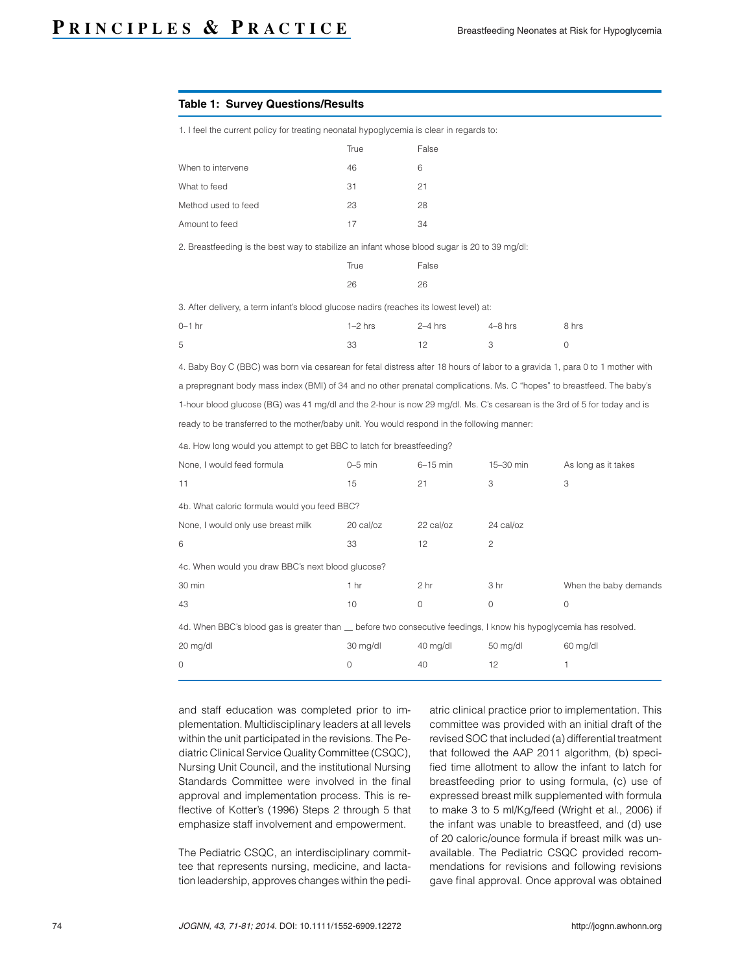#### **Table 1: Survey Questions/Results**

|                     |  | True | False |
|---------------------|--|------|-------|
| When to intervene   |  | 46   | 6     |
| What to feed        |  | 31   | 21    |
| Method used to feed |  | 23   | 28    |
| Amount to feed      |  | 17   | 34    |
|                     |  |      |       |

2. Breastfeeding is the best way to stabilize an infant whose blood sugar is 20 to 39 mg/dl:

1. I feel the current policy for treating neonatal hypoglycemia is clear in regards to:

| True | False |
|------|-------|
| 26   | 26    |

3. After delivery, a term infant's blood glucose nadirs (reaches its lowest level) at:

| $0-1$ hr | 1–2 hrs | 2–4 hrs | 4–8 hrs       | 8 hrs |
|----------|---------|---------|---------------|-------|
| 5        | 33      | 12      | $\sim$ $\sim$ |       |

4. Baby Boy C (BBC) was born via cesarean for fetal distress after 18 hours of labor to a gravida 1, para 0 to 1 mother with a prepregnant body mass index (BMI) of 34 and no other prenatal complications. Ms. C "hopes" to breastfeed. The baby's 1-hour blood glucose (BG) was 41 mg/dl and the 2-hour is now 29 mg/dl. Ms. C's cesarean is the 3rd of 5 for today and is ready to be transferred to the mother/baby unit. You would respond in the following manner:

4a. How long would you attempt to get BBC to latch for breastfeeding?

| None, I would feed formula                                                                                          | $0-5$ min       | $6-15$ min      | 15-30 min | As long as it takes   |
|---------------------------------------------------------------------------------------------------------------------|-----------------|-----------------|-----------|-----------------------|
| 11                                                                                                                  | 15              | 21              | 3         | 3                     |
| 4b. What caloric formula would you feed BBC?                                                                        |                 |                 |           |                       |
| None, I would only use breast milk                                                                                  | 20 cal/oz       | 22 cal/oz       | 24 cal/oz |                       |
| 6                                                                                                                   | 33              | 12              | 2         |                       |
| 4c. When would you draw BBC's next blood glucose?                                                                   |                 |                 |           |                       |
| 30 min                                                                                                              | 1 <sub>hr</sub> | 2 <sub>hr</sub> | 3 hr      | When the baby demands |
| 43                                                                                                                  | 10              | 0               | 0         | $\Omega$              |
| 4d. When BBC's blood gas is greater than ___ before two consecutive feedings, I know his hypoglycemia has resolved. |                 |                 |           |                       |
| 20 mg/dl                                                                                                            | 30 mg/dl        | 40 mg/dl        | 50 mg/dl  | 60 mg/dl              |
| $\Omega$                                                                                                            | 0               | 40              | 12        |                       |

and staff education was completed prior to implementation. Multidisciplinary leaders at all levels within the unit participated in the revisions. The Pediatric Clinical Service Quality Committee (CSQC), Nursing Unit Council, and the institutional Nursing Standards Committee were involved in the final approval and implementation process. This is reflective of Kotter's (1996) Steps 2 through 5 that emphasize staff involvement and empowerment.

The Pediatric CSQC, an interdisciplinary committee that represents nursing, medicine, and lactation leadership, approves changes within the pediatric clinical practice prior to implementation. This committee was provided with an initial draft of the revised SOC that included (a) differential treatment that followed the AAP 2011 algorithm, (b) specified time allotment to allow the infant to latch for breastfeeding prior to using formula, (c) use of expressed breast milk supplemented with formula to make 3 to 5 ml/Kg/feed (Wright et al., 2006) if the infant was unable to breastfeed, and (d) use of 20 caloric/ounce formula if breast milk was unavailable. The Pediatric CSQC provided recommendations for revisions and following revisions gave final approval. Once approval was obtained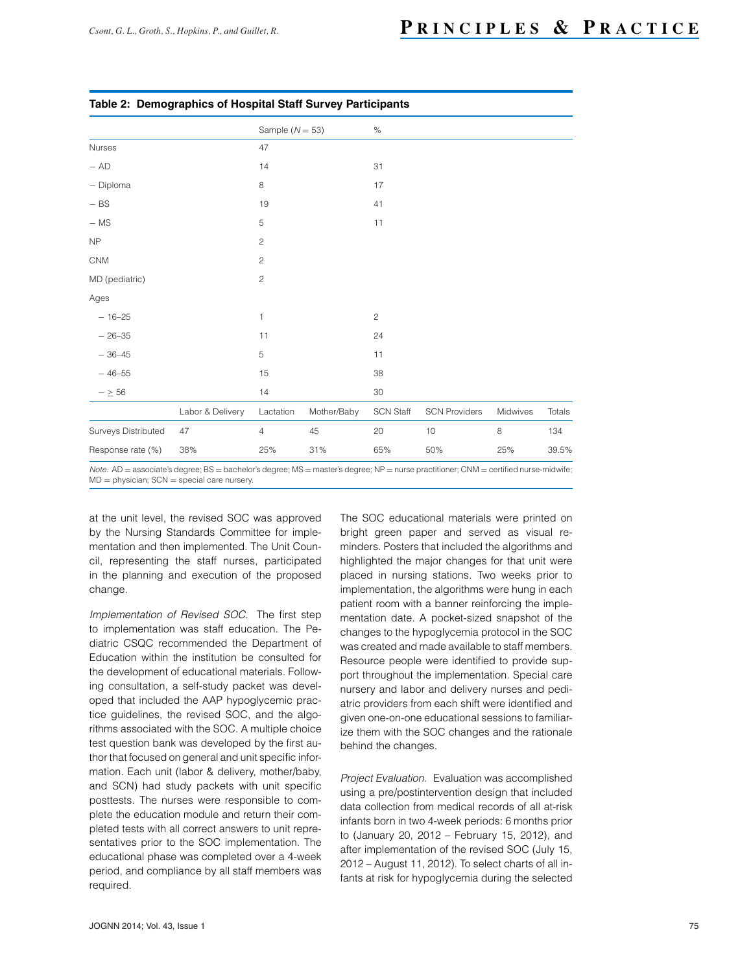|                       |                  | Sample $(N = 53)$ |             | $\%$             |                      |          |        |
|-----------------------|------------------|-------------------|-------------|------------------|----------------------|----------|--------|
| Nurses                |                  | 47                |             |                  |                      |          |        |
| $-$ AD                |                  | 14                |             | 31               |                      |          |        |
| - Diploma             |                  | 8                 |             | 17               |                      |          |        |
| $- BS$                |                  | 19                |             | 41               |                      |          |        |
| $-$ MS $\,$           |                  | 5                 |             | 11               |                      |          |        |
| NP                    |                  | $\overline{c}$    |             |                  |                      |          |        |
| $\mathsf{CNM}\xspace$ |                  | $\overline{c}$    |             |                  |                      |          |        |
| MD (pediatric)        |                  | $\overline{c}$    |             |                  |                      |          |        |
| Ages                  |                  |                   |             |                  |                      |          |        |
| $-16 - 25$            |                  | 1                 |             | $\overline{c}$   |                      |          |        |
| $-26 - 35$            |                  | 11                |             | 24               |                      |          |        |
| $-36 - 45$            |                  | 5                 |             | 11               |                      |          |        |
| $-46 - 55$            |                  | 15                |             | 38               |                      |          |        |
| $-\geq 56$            |                  | 14                |             | 30               |                      |          |        |
|                       | Labor & Delivery | Lactation         | Mother/Baby | <b>SCN Staff</b> | <b>SCN Providers</b> | Midwives | Totals |
| Surveys Distributed   | 47               | $\overline{4}$    | 45          | 20               | 10                   | 8        | 134    |
| Response rate (%)     | 38%              | 25%               | 31%         | 65%              | 50%                  | 25%      | 39.5%  |
|                       |                  |                   |             |                  |                      |          |        |

#### **Table 2: Demographics of Hospital Staff Survey Participants**

*Note.* AD = associate's degree; BS = bachelor's degree; MS = master's degree; NP = nurse practitioner; CNM = certified nurse-midwife;  $MD =$  physician;  $SCN =$  special care nursery.

at the unit level, the revised SOC was approved by the Nursing Standards Committee for implementation and then implemented. The Unit Council, representing the staff nurses, participated in the planning and execution of the proposed change.

*Implementation of Revised SOC.* The first step to implementation was staff education. The Pediatric CSQC recommended the Department of Education within the institution be consulted for the development of educational materials. Following consultation, a self-study packet was developed that included the AAP hypoglycemic practice guidelines, the revised SOC, and the algorithms associated with the SOC. A multiple choice test question bank was developed by the first author that focused on general and unit specific information. Each unit (labor & delivery, mother/baby, and SCN) had study packets with unit specific posttests. The nurses were responsible to complete the education module and return their completed tests with all correct answers to unit representatives prior to the SOC implementation. The educational phase was completed over a 4-week period, and compliance by all staff members was required.

The SOC educational materials were printed on bright green paper and served as visual reminders. Posters that included the algorithms and highlighted the major changes for that unit were placed in nursing stations. Two weeks prior to implementation, the algorithms were hung in each patient room with a banner reinforcing the implementation date. A pocket-sized snapshot of the changes to the hypoglycemia protocol in the SOC was created and made available to staff members. Resource people were identified to provide support throughout the implementation. Special care nursery and labor and delivery nurses and pediatric providers from each shift were identified and given one-on-one educational sessions to familiarize them with the SOC changes and the rationale behind the changes.

*Project Evaluation.* Evaluation was accomplished using a pre/postintervention design that included data collection from medical records of all at-risk infants born in two 4-week periods: 6 months prior to (January 20, 2012 – February 15, 2012), and after implementation of the revised SOC (July 15, 2012 – August 11, 2012). To select charts of all infants at risk for hypoglycemia during the selected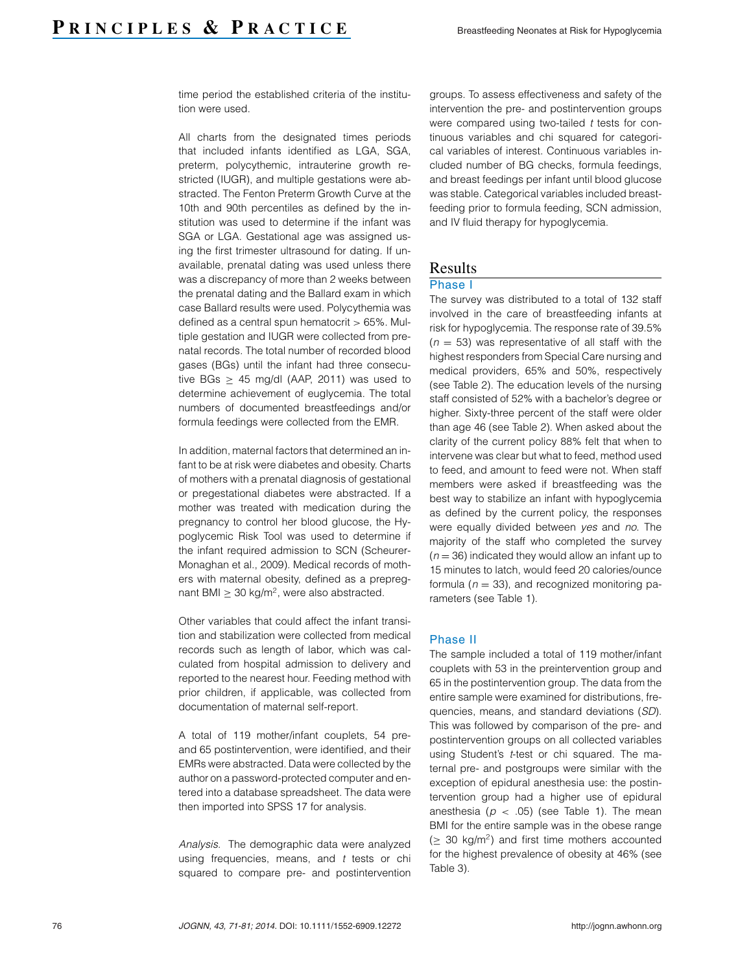time period the established criteria of the institution were used.

All charts from the designated times periods that included infants identified as LGA, SGA, preterm, polycythemic, intrauterine growth restricted (IUGR), and multiple gestations were abstracted. The Fenton Preterm Growth Curve at the 10th and 90th percentiles as defined by the institution was used to determine if the infant was SGA or LGA. Gestational age was assigned using the first trimester ultrasound for dating. If unavailable, prenatal dating was used unless there was a discrepancy of more than 2 weeks between the prenatal dating and the Ballard exam in which case Ballard results were used. Polycythemia was defined as a central spun hematocrit *>* 65%. Multiple gestation and IUGR were collected from prenatal records. The total number of recorded blood gases (BGs) until the infant had three consecutive BGs  $> 45$  mg/dl (AAP, 2011) was used to determine achievement of euglycemia. The total numbers of documented breastfeedings and/or formula feedings were collected from the EMR.

In addition, maternal factors that determined an infant to be at risk were diabetes and obesity. Charts of mothers with a prenatal diagnosis of gestational or pregestational diabetes were abstracted. If a mother was treated with medication during the pregnancy to control her blood glucose, the Hypoglycemic Risk Tool was used to determine if the infant required admission to SCN (Scheurer-Monaghan et al., 2009). Medical records of mothers with maternal obesity, defined as a prepregnant BMI  $\geq$  30 kg/m<sup>2</sup>, were also abstracted.

Other variables that could affect the infant transition and stabilization were collected from medical records such as length of labor, which was calculated from hospital admission to delivery and reported to the nearest hour. Feeding method with prior children, if applicable, was collected from documentation of maternal self-report.

A total of 119 mother/infant couplets, 54 preand 65 postintervention, were identified, and their EMRs were abstracted. Data were collected by the author on a password-protected computer and entered into a database spreadsheet. The data were then imported into SPSS 17 for analysis.

*Analysis.* The demographic data were analyzed using frequencies, means, and *t* tests or chi squared to compare pre- and postintervention

groups. To assess effectiveness and safety of the intervention the pre- and postintervention groups were compared using two-tailed *t* tests for continuous variables and chi squared for categorical variables of interest. Continuous variables included number of BG checks, formula feedings, and breast feedings per infant until blood glucose was stable. Categorical variables included breastfeeding prior to formula feeding, SCN admission, and IV fluid therapy for hypoglycemia.

### Results

#### Phase I

The survey was distributed to a total of 132 staff involved in the care of breastfeeding infants at risk for hypoglycemia. The response rate of 39.5%  $(n = 53)$  was representative of all staff with the highest responders from Special Care nursing and medical providers, 65% and 50%, respectively (see Table 2). The education levels of the nursing staff consisted of 52% with a bachelor's degree or higher. Sixty-three percent of the staff were older than age 46 (see Table 2). When asked about the clarity of the current policy 88% felt that when to intervene was clear but what to feed, method used to feed, and amount to feed were not. When staff members were asked if breastfeeding was the best way to stabilize an infant with hypoglycemia as defined by the current policy, the responses were equally divided between *yes* and *no*. The majority of the staff who completed the survey  $(n = 36)$  indicated they would allow an infant up to 15 minutes to latch, would feed 20 calories/ounce formula  $(n = 33)$ , and recognized monitoring parameters (see Table 1).

#### Phase II

The sample included a total of 119 mother/infant couplets with 53 in the preintervention group and 65 in the postintervention group. The data from the entire sample were examined for distributions, frequencies, means, and standard deviations (*SD*). This was followed by comparison of the pre- and postintervention groups on all collected variables using Student's *t*-test or chi squared. The maternal pre- and postgroups were similar with the exception of epidural anesthesia use: the postintervention group had a higher use of epidural anesthesia ( $p < .05$ ) (see Table 1). The mean BMI for the entire sample was in the obese range  $(≥ 30 kg/m<sup>2</sup>)$  and first time mothers accounted for the highest prevalence of obesity at 46% (see Table 3).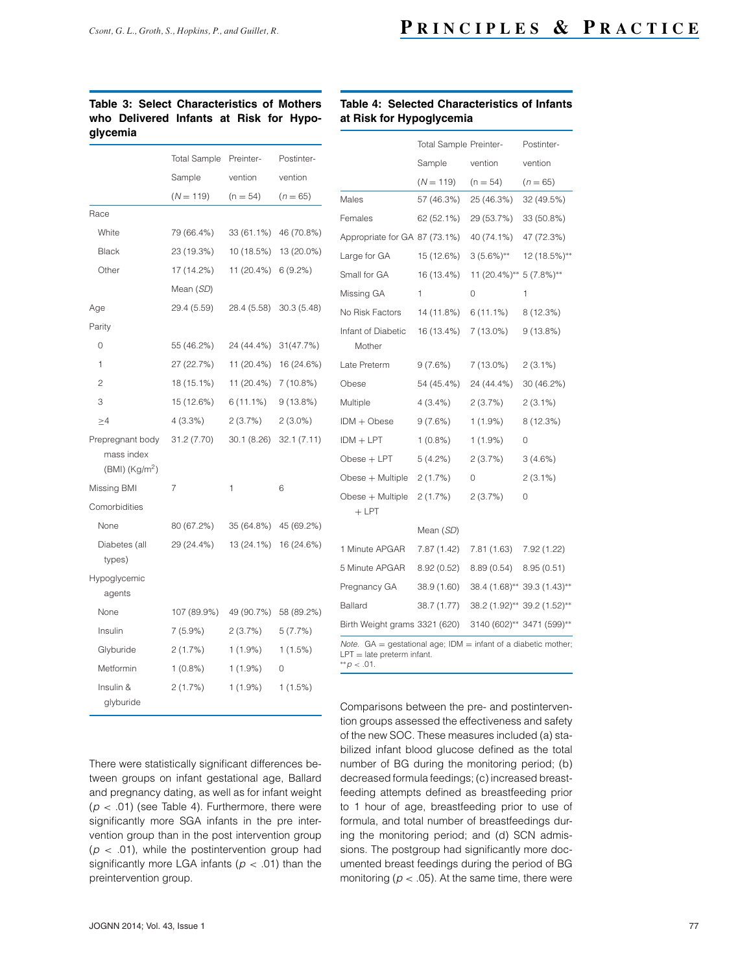#### **Table 3: Select Characteristics of Mothers who Delivered Infants at Risk for Hypoglycemia**

#### **Table 4: Selected Characteristics of Infants at Risk for Hypoglycemia**

|                                                                |                     |             | Postinter- |
|----------------------------------------------------------------|---------------------|-------------|------------|
|                                                                | <b>Total Sample</b> | Preinter-   |            |
|                                                                | Sample              | vention     | vention    |
|                                                                | $(N = 119)$         | $(n = 54)$  | $(n = 65)$ |
| Race                                                           |                     |             |            |
| White                                                          | 79 (66.4%)          | 33 (61.1%)  | 46 (70.8%) |
| <b>Black</b>                                                   | 23 (19.3%)          | 10 (18.5%)  | 13 (20.0%) |
| Other                                                          | 17 (14.2%)          | 11 (20.4%)  | $6(9.2\%)$ |
|                                                                | Mean (SD)           |             |            |
| Age                                                            | 29.4 (5.59)         | 28.4 (5.58) | 30.3(5.48) |
| Parity                                                         |                     |             |            |
| $\Omega$                                                       | 55 (46.2%)          | 24 (44.4%)  | 31(47.7%)  |
| 1                                                              | 27 (22.7%)          | 11 (20.4%)  | 16 (24.6%) |
| 2                                                              | 18 (15.1%)          | 11 (20.4%)  | 7 (10.8%)  |
| 3                                                              | 15 (12.6%)          | $6(11.1\%)$ | 9(13.8%)   |
| >4                                                             | 4 (3.3%)            | 2(3.7%)     | $2(3.0\%)$ |
| Prepregnant body<br>mass index<br>$(BMI)$ (Kg/m <sup>2</sup> ) | 31.2 (7.70)         | 30.1 (8.26) | 32.1(7.11) |
| Missing BMI                                                    | 7                   | 1           | 6          |
| Comorbidities                                                  |                     |             |            |
| None                                                           | 80 (67.2%)          | 35 (64.8%)  | 45 (69.2%) |
| Diabetes (all<br>types)                                        | 29 (24.4%)          | 13 (24.1%)  | 16 (24.6%) |
| Hypoglycemic<br>agents                                         |                     |             |            |
| None                                                           | 107 (89.9%)         | 49 (90.7%)  | 58 (89.2%) |
| Insulin                                                        | 7(5.9%)             | 2(3.7%)     | 5(7.7%)    |
| Glyburide                                                      | 2(1.7%)             | $1(1.9\%)$  | 1(1.5%)    |
| Metformin                                                      | $1(0.8\%)$          | $1(1.9\%)$  | 0          |
| Insulin &<br>glyburide                                         | 2 (1.7%)            | 1(1.9%)     | 1(1.5%)    |

|                                                       | uvi  |
|-------------------------------------------------------|------|
|                                                       | of t |
|                                                       | bili |
| There were statistically significant differences be-  | nu   |
| tween groups on infant gestational age, Ballard       | de   |
| and pregnancy dating, as well as for infant weight    | fee  |
| $(p < .01)$ (see Table 4). Furthermore, there were    | to   |
| significantly more SGA infants in the pre inter-      | for  |
| vention group than in the post intervention group     | inc  |
| $(p < .01)$ , while the postintervention group had    | sio  |
| significantly more LGA infants ( $p < .01$ ) than the | um   |
| preintervention group.                                | mc   |

|                               | Total Sample Preinter- |                           | Postinter-    |
|-------------------------------|------------------------|---------------------------|---------------|
|                               | Sample                 | vention                   | vention       |
|                               | $(N = 119)$            | $(n = 54)$                | $(n = 65)$    |
| Males                         | 57 (46.3%)             | 25 (46.3%)                | 32 (49.5%)    |
| Females                       | 62 (52.1%)             | 29 (53.7%)                | 33 (50.8%)    |
| Appropriate for GA 87 (73.1%) |                        | 40 (74.1%)                | 47 (72.3%)    |
| Large for GA                  | 15 (12.6%)             | $3(5.6\%)**$              | 12 (18.5%)**  |
| Small for GA                  | 16 (13.4%)             | $11 (20.4\%)$ **          | $5(7.8\%)**$  |
| Missing GA                    | 1                      | 0                         | 1             |
| No Risk Factors               | 14 (11.8%)             | $6(11.1\%)$               | 8 (12.3%)     |
| Infant of Diabetic<br>Mother  | 16 (13.4%)             | 7 (13.0%)                 | 9 (13.8%)     |
| Late Preterm                  | 9(7.6%)                | 7 (13.0%)                 | 2 (3.1%)      |
| Obese                         | 54 (45.4%)             | 24 (44.4%)                | 30 (46.2%)    |
| Multiple                      | $4(3.4\%)$             | 2 (3.7%)                  | 2 (3.1%)      |
| $IDM + Obese$                 | 9(7.6%)                | $1(1.9\%)$                | 8 (12.3%)     |
| $IDM + LPT$                   | $1(0.8\%)$             | $1(1.9\%)$                | 0             |
| $Obese + LPT$                 | 5 (4.2%)               | 2 (3.7%)                  | 3(4.6%)       |
| Obese + Multiple              | 2(1.7%)                | 0                         | $2(3.1\%)$    |
| $Obese + Multiple$<br>+ LPT   | 2 (1.7%)               | 2(3.7%)                   | 0             |
|                               | Mean (SD)              |                           |               |
| 1 Minute APGAR                | 7.87 (1.42)            | 7.81 (1.63)               | 7.92 (1.22)   |
| 5 Minute APGAR                | 8.92 (0.52)            | 8.89 (0.54)               | 8.95(0.51)    |
| Pregnancy GA                  | 38.9 (1.60)            | 38.4 (1.68)**             | 39.3 (1.43)** |
| Ballard                       | 38.7 (1.77)            | 38.2 (1.92)**             | 39.2 (1.52)** |
| Birth Weight grams 3321 (620) |                        | 3140 (602)** 3471 (599)** |               |

Comparisons between the pre- and postintervention groups assessed the effectiveness and safety the new SOC. These measures included (a) staized infant blood glucose defined as the total imber of BG during the monitoring period; (b) creased formula feedings; (c) increased breasteding attempts defined as breastfeeding prior 1 hour of age, breastfeeding prior to use of mula, and total number of breastfeedings durg the monitoring period; and (d) SCN admisons. The postgroup had significantly more docnented breast feedings during the period of BG monitoring ( $p < .05$ ). At the same time, there were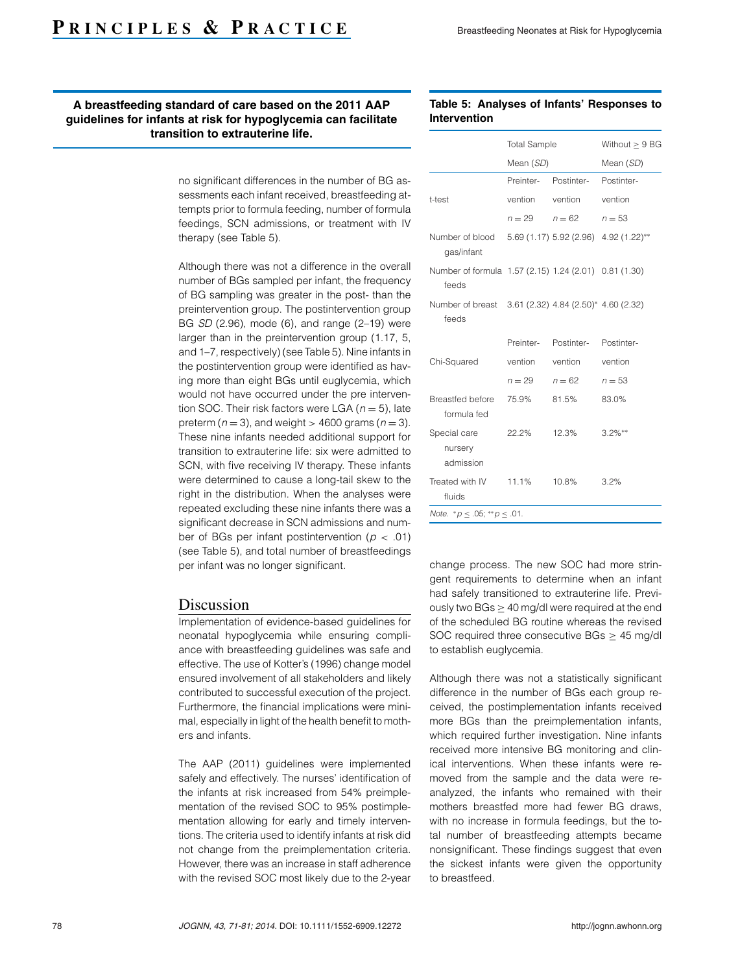#### **A breastfeeding standard of care based on the 2011 AAP guidelines for infants at risk for hypoglycemia can facilitate transition to extrauterine life.**

no significant differences in the number of BG assessments each infant received, breastfeeding attempts prior to formula feeding, number of formula feedings, SCN admissions, or treatment with IV therapy (see Table 5).

Although there was not a difference in the overall number of BGs sampled per infant, the frequency of BG sampling was greater in the post- than the preintervention group. The postintervention group BG *SD* (2.96), mode (6), and range (2–19) were larger than in the preintervention group (1.17, 5, and 1–7, respectively) (see Table 5). Nine infants in the postintervention group were identified as having more than eight BGs until euglycemia, which would not have occurred under the pre intervention SOC. Their risk factors were LGA (*n* = 5), late preterm  $(n = 3)$ , and weight  $> 4600$  grams  $(n = 3)$ . These nine infants needed additional support for transition to extrauterine life: six were admitted to SCN, with five receiving IV therapy. These infants were determined to cause a long-tail skew to the right in the distribution. When the analyses were repeated excluding these nine infants there was a significant decrease in SCN admissions and number of BGs per infant postintervention (*p <* .01) (see Table 5), and total number of breastfeedings per infant was no longer significant.

#### Discussion

Implementation of evidence-based guidelines for neonatal hypoglycemia while ensuring compliance with breastfeeding guidelines was safe and effective. The use of Kotter's (1996) change model ensured involvement of all stakeholders and likely contributed to successful execution of the project. Furthermore, the financial implications were minimal, especially in light of the health benefit to mothers and infants.

The AAP (2011) guidelines were implemented safely and effectively. The nurses' identification of the infants at risk increased from 54% preimplementation of the revised SOC to 95% postimplementation allowing for early and timely interventions. The criteria used to identify infants at risk did not change from the preimplementation criteria. However, there was an increase in staff adherence with the revised SOC most likely due to the 2-year

#### **Table 5: Analyses of Infants' Responses to Intervention**

|                                                                | <b>Total Sample</b> | Without $> 9$ BG |                                       |  |
|----------------------------------------------------------------|---------------------|------------------|---------------------------------------|--|
|                                                                | Mean (SD)           |                  | Mean (SD)                             |  |
|                                                                | Preinter-           | Postinter-       | Postinter-                            |  |
| t-test                                                         | vention vention     |                  | vention                               |  |
|                                                                | $n = 29$            | $n = 62$         | $n = 53$                              |  |
| Number of blood<br>gas/infant                                  |                     |                  | 5.69 (1.17) 5.92 (2.96) 4.92 (1.22)** |  |
| Number of formula 1.57 (2.15) 1.24 (2.01) 0.81 (1.30)<br>feeds |                     |                  |                                       |  |
| Number of breast 3.61 (2.32) 4.84 (2.50)* 4.60 (2.32)<br>feeds |                     |                  |                                       |  |
|                                                                | Preinter-           | Postinter-       | Postinter-                            |  |
| Chi-Squared                                                    | vention             | vention          | vention                               |  |
|                                                                | $n = 29$            | $n = 62$         | $n = 53$                              |  |
| Breastfed before<br>formula fed                                | 75.9%               | 81.5%            | 83.0%                                 |  |
| Special care<br>nursery<br>admission                           | 22.2%               | 12.3%            | $3.2\%**$                             |  |
| Treated with IV<br>fluids                                      | 11.1%               | 10.8%            | 3.2%                                  |  |
| Note. * $p \le .05$ ; ** $p \le .01$ .                         |                     |                  |                                       |  |

change process. The new SOC had more stringent requirements to determine when an infant had safely transitioned to extrauterine life. Previously two BGs  $\geq$  40 mg/dl were required at the end of the scheduled BG routine whereas the revised SOC required three consecutive BGs ≥ 45 mg/dl to establish euglycemia.

Although there was not a statistically significant difference in the number of BGs each group received, the postimplementation infants received more BGs than the preimplementation infants, which required further investigation. Nine infants received more intensive BG monitoring and clinical interventions. When these infants were removed from the sample and the data were reanalyzed, the infants who remained with their mothers breastfed more had fewer BG draws, with no increase in formula feedings, but the total number of breastfeeding attempts became nonsignificant. These findings suggest that even the sickest infants were given the opportunity to breastfeed.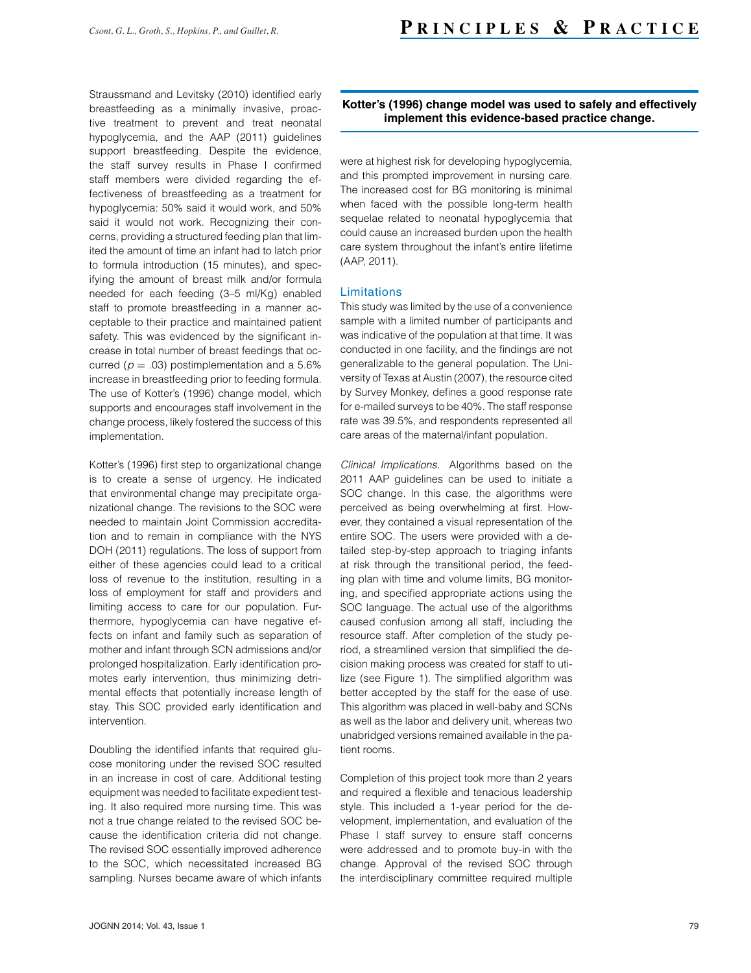Straussmand and Levitsky (2010) identified early breastfeeding as a minimally invasive, proactive treatment to prevent and treat neonatal hypoglycemia, and the AAP (2011) guidelines support breastfeeding. Despite the evidence, the staff survey results in Phase I confirmed staff members were divided regarding the effectiveness of breastfeeding as a treatment for hypoglycemia: 50% said it would work, and 50% said it would not work. Recognizing their concerns, providing a structured feeding plan that limited the amount of time an infant had to latch prior to formula introduction (15 minutes), and specifying the amount of breast milk and/or formula needed for each feeding (3–5 ml/Kg) enabled staff to promote breastfeeding in a manner acceptable to their practice and maintained patient safety. This was evidenced by the significant increase in total number of breast feedings that occurred ( $p = .03$ ) postimplementation and a 5.6% increase in breastfeeding prior to feeding formula. The use of Kotter's (1996) change model, which supports and encourages staff involvement in the change process, likely fostered the success of this implementation.

Kotter's (1996) first step to organizational change is to create a sense of urgency. He indicated that environmental change may precipitate organizational change. The revisions to the SOC were needed to maintain Joint Commission accreditation and to remain in compliance with the NYS DOH (2011) regulations. The loss of support from either of these agencies could lead to a critical loss of revenue to the institution, resulting in a loss of employment for staff and providers and limiting access to care for our population. Furthermore, hypoglycemia can have negative effects on infant and family such as separation of mother and infant through SCN admissions and/or prolonged hospitalization. Early identification promotes early intervention, thus minimizing detrimental effects that potentially increase length of stay. This SOC provided early identification and intervention.

Doubling the identified infants that required glucose monitoring under the revised SOC resulted in an increase in cost of care. Additional testing equipment was needed to facilitate expedient testing. It also required more nursing time. This was not a true change related to the revised SOC because the identification criteria did not change. The revised SOC essentially improved adherence to the SOC, which necessitated increased BG sampling. Nurses became aware of which infants

#### **Kotter's (1996) change model was used to safely and effectively implement this evidence-based practice change.**

were at highest risk for developing hypoglycemia, and this prompted improvement in nursing care. The increased cost for BG monitoring is minimal when faced with the possible long-term health sequelae related to neonatal hypoglycemia that could cause an increased burden upon the health care system throughout the infant's entire lifetime (AAP, 2011).

#### Limitations

This study was limited by the use of a convenience sample with a limited number of participants and was indicative of the population at that time. It was conducted in one facility, and the findings are not generalizable to the general population. The University of Texas at Austin (2007), the resource cited by Survey Monkey, defines a good response rate for e-mailed surveys to be 40%. The staff response rate was 39.5%, and respondents represented all care areas of the maternal/infant population.

*Clinical Implications.* Algorithms based on the 2011 AAP guidelines can be used to initiate a SOC change. In this case, the algorithms were perceived as being overwhelming at first. However, they contained a visual representation of the entire SOC. The users were provided with a detailed step-by-step approach to triaging infants at risk through the transitional period, the feeding plan with time and volume limits, BG monitoring, and specified appropriate actions using the SOC language. The actual use of the algorithms caused confusion among all staff, including the resource staff. After completion of the study period, a streamlined version that simplified the decision making process was created for staff to utilize (see Figure 1). The simplified algorithm was better accepted by the staff for the ease of use. This algorithm was placed in well-baby and SCNs as well as the labor and delivery unit, whereas two unabridged versions remained available in the patient rooms.

Completion of this project took more than 2 years and required a flexible and tenacious leadership style. This included a 1-year period for the development, implementation, and evaluation of the Phase I staff survey to ensure staff concerns were addressed and to promote buy-in with the change. Approval of the revised SOC through the interdisciplinary committee required multiple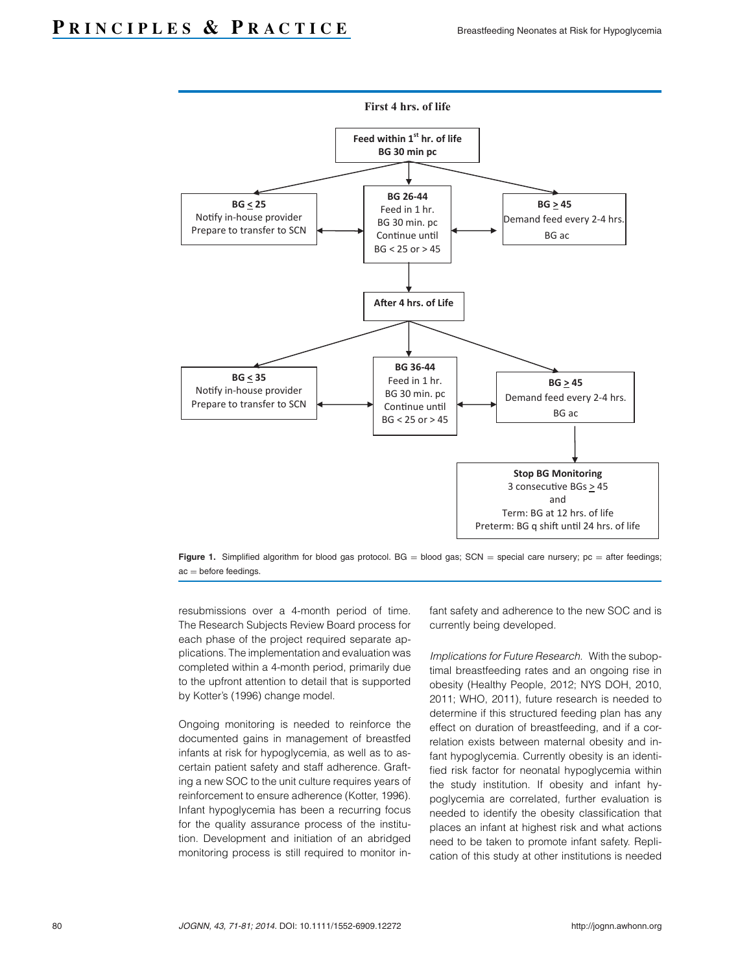

**Figure 1.** Simplified algorithm for blood gas protocol. BG = blood gas;  $SCN$  = special care nursery;  $pc$  = after feedings;  $ac =$  before feedings.

resubmissions over a 4-month period of time. The Research Subjects Review Board process for each phase of the project required separate applications. The implementation and evaluation was completed within a 4-month period, primarily due to the upfront attention to detail that is supported by Kotter's (1996) change model.

Ongoing monitoring is needed to reinforce the documented gains in management of breastfed infants at risk for hypoglycemia, as well as to ascertain patient safety and staff adherence. Grafting a new SOC to the unit culture requires years of reinforcement to ensure adherence (Kotter, 1996). Infant hypoglycemia has been a recurring focus for the quality assurance process of the institution. Development and initiation of an abridged monitoring process is still required to monitor infant safety and adherence to the new SOC and is currently being developed.

*Implications for Future Research.* With the suboptimal breastfeeding rates and an ongoing rise in obesity (Healthy People, 2012; NYS DOH, 2010, 2011; WHO, 2011), future research is needed to determine if this structured feeding plan has any effect on duration of breastfeeding, and if a correlation exists between maternal obesity and infant hypoglycemia. Currently obesity is an identified risk factor for neonatal hypoglycemia within the study institution. If obesity and infant hypoglycemia are correlated, further evaluation is needed to identify the obesity classification that places an infant at highest risk and what actions need to be taken to promote infant safety. Replication of this study at other institutions is needed